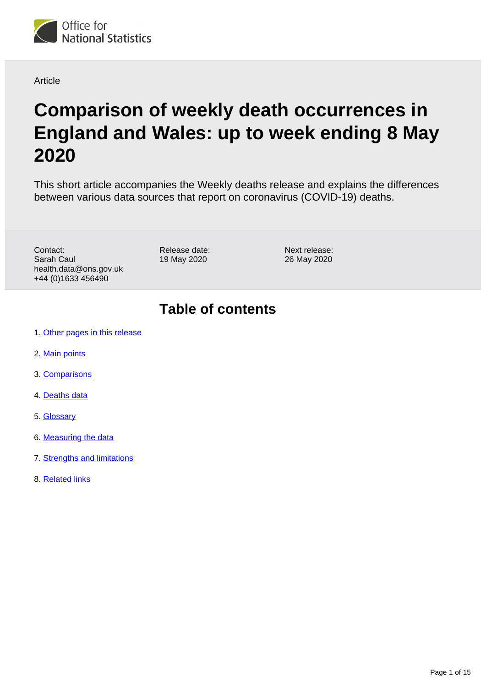

#### Article

# **Comparison of weekly death occurrences in England and Wales: up to week ending 8 May 2020**

This short article accompanies the Weekly deaths release and explains the differences between various data sources that report on coronavirus (COVID-19) deaths.

Contact: Sarah Caul health.data@ons.gov.uk +44 (0)1633 456490

Release date: 19 May 2020

Next release: 26 May 2020

### **Table of contents**

- 1. [Other pages in this release](#page-1-0)
- 2. [Main points](#page-1-1)
- 3. [Comparisons](#page-1-2)
- 4. [Deaths data](#page-10-0)
- 5. [Glossary](#page-10-1)
- 6. [Measuring the data](#page-10-2)
- 7. [Strengths and limitations](#page-13-0)
- 8. [Related links](#page-14-0)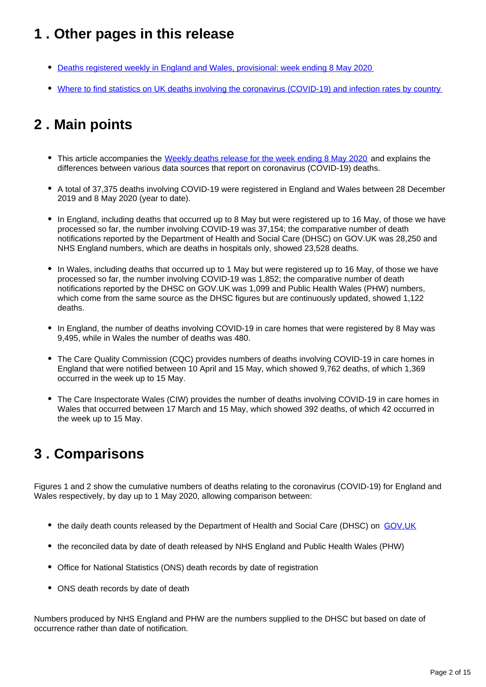### <span id="page-1-0"></span>**1 . Other pages in this release**

- [Deaths registered weekly in England and Wales, provisional: week ending 8 May 2020](https://www.ons.gov.uk/peoplepopulationandcommunity/birthsdeathsandmarriages/deaths/bulletins/deathsregisteredweeklyinenglandandwalesprovisional/latest)
- [Where to find statistics on UK deaths involving the coronavirus \(COVID-19\) and infection rates by country](https://www.ons.gov.uk/peoplepopulationandcommunity/birthsdeathsandmarriages/deaths/articles/wheretofindstatisticsonukdeathsinvolvingthecoronaviruscovid19andinfectionratesbycountry/2020-05-19)

## <span id="page-1-1"></span>**2 . Main points**

- This article accompanies the [Weekly deaths release for the week ending 8 May 2020](https://www.ons.gov.uk/peoplepopulationandcommunity/birthsdeathsandmarriages/deaths/bulletins/deathsregisteredweeklyinenglandandwalesprovisional/latest) and explains the differences between various data sources that report on coronavirus (COVID-19) deaths.
- A total of 37,375 deaths involving COVID-19 were registered in England and Wales between 28 December 2019 and 8 May 2020 (year to date).
- In England, including deaths that occurred up to 8 May but were registered up to 16 May, of those we have processed so far, the number involving COVID-19 was 37,154; the comparative number of death notifications reported by the Department of Health and Social Care (DHSC) on GOV.UK was 28,250 and NHS England numbers, which are deaths in hospitals only, showed 23,528 deaths.
- In Wales, including deaths that occurred up to 1 May but were registered up to 16 May, of those we have processed so far, the number involving COVID-19 was 1,852; the comparative number of death notifications reported by the DHSC on GOV.UK was 1,099 and Public Health Wales (PHW) numbers, which come from the same source as the DHSC figures but are continuously updated, showed 1,122 deaths.
- In England, the number of deaths involving COVID-19 in care homes that were registered by 8 May was 9,495, while in Wales the number of deaths was 480.
- The Care Quality Commission (CQC) provides numbers of deaths involving COVID-19 in care homes in England that were notified between 10 April and 15 May, which showed 9,762 deaths, of which 1,369 occurred in the week up to 15 May.
- The Care Inspectorate Wales (CIW) provides the number of deaths involving COVID-19 in care homes in Wales that occurred between 17 March and 15 May, which showed 392 deaths, of which 42 occurred in the week up to 15 May.

### <span id="page-1-2"></span>**3 . Comparisons**

Figures 1 and 2 show the cumulative numbers of deaths relating to the coronavirus (COVID-19) for England and Wales respectively, by day up to 1 May 2020, allowing comparison between:

- the daily death counts released by the Department of Health and Social Care (DHSC) on [GOV.UK](https://www.gov.uk/guidance/coronavirus-covid-19-information-for-the-public)
- the reconciled data by date of death released by NHS England and Public Health Wales (PHW)
- Office for National Statistics (ONS) death records by date of registration
- ONS death records by date of death

Numbers produced by NHS England and PHW are the numbers supplied to the DHSC but based on date of occurrence rather than date of notification.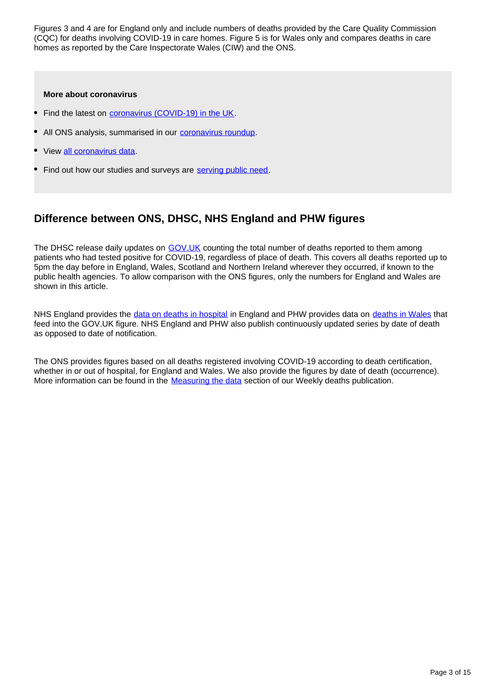Figures 3 and 4 are for England only and include numbers of deaths provided by the Care Quality Commission (CQC) for deaths involving COVID-19 in care homes. Figure 5 is for Wales only and compares deaths in care homes as reported by the Care Inspectorate Wales (CIW) and the ONS.

#### **More about coronavirus**

- Find the latest on [coronavirus \(COVID-19\) in the UK](https://www.ons.gov.uk/peoplepopulationandcommunity/healthandsocialcare/conditionsanddiseases/bulletins/coronavirustheukeconomyandsocietyfasterindicators/latest).
- All ONS analysis, summarised in our [coronavirus roundup.](https://www.ons.gov.uk/peoplepopulationandcommunity/healthandsocialcare/conditionsanddiseases/articles/coronaviruscovid19roundup/2020-03-26)
- View [all coronavirus data.](https://www.ons.gov.uk/peoplepopulationandcommunity/healthandsocialcare/conditionsanddiseases/datalist)
- Find out how our studies and surveys are [serving public need.](http://ons.gov.uk/surveys)

### **Difference between ONS, DHSC, NHS England and PHW figures**

The DHSC release daily updates on [GOV.UK](https://www.gov.uk/) counting the total number of deaths reported to them among patients who had tested positive for COVID-19, regardless of place of death. This covers all deaths reported up to 5pm the day before in England, Wales, Scotland and Northern Ireland wherever they occurred, if known to the public health agencies. To allow comparison with the ONS figures, only the numbers for England and Wales are shown in this article.

NHS England provides the [data on deaths in hospital](https://www.england.nhs.uk/statistics/statistical-work-areas/covid-19-daily-deaths/) in England and PHW provides data on [deaths in Wales](https://public.tableau.com/profile/public.health.wales.health.protection#!/vizhome/RapidCOVID-19virology-Public/Headlinesummary) that feed into the GOV.UK figure. NHS England and PHW also publish continuously updated series by date of death as opposed to date of notification.

The ONS provides figures based on all deaths registered involving COVID-19 according to death certification, whether in or out of hospital, for England and Wales. We also provide the figures by date of death (occurrence). More information can be found in the **[Measuring the data](https://www.ons.gov.uk/peoplepopulationandcommunity/healthandsocialcare/causesofdeath/articles/comparisonofweeklydeathoccurrencesinenglandandwales/uptoweekending8may2020#measuring-the-data)** section of our Weekly deaths publication.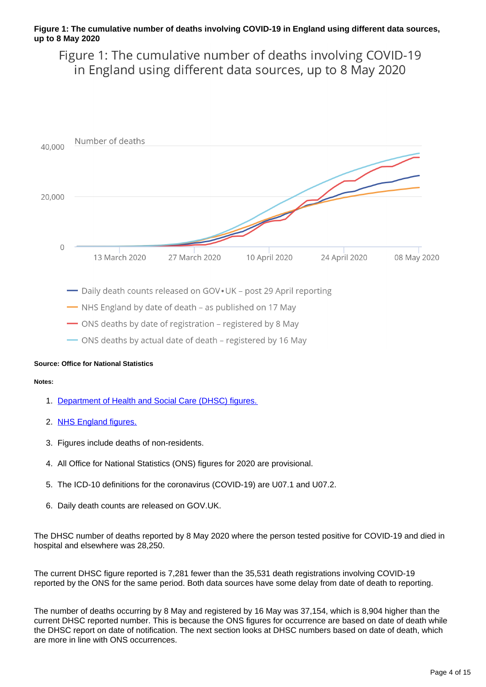#### **Figure 1: The cumulative number of deaths involving COVID-19 in England using different data sources, up to 8 May 2020**

Figure 1: The cumulative number of deaths involving COVID-19 in England using different data sources, up to 8 May 2020



-NHS England by date of death - as published on 17 May

- ONS deaths by date of registration - registered by 8 May

- ONS deaths by actual date of death - registered by 16 May

#### **Source: Office for National Statistics**

#### **Notes:**

- 1. [Department of Health and Social Care \(DHSC\) figures.](https://www.gov.uk/government/publications/covid-19-track-coronavirus-cases)
- 2. [NHS England figures.](https://www.england.nhs.uk/statistics/statistical-work-areas/covid-19-daily-deaths)
- 3. Figures include deaths of non-residents.
- 4. All Office for National Statistics (ONS) figures for 2020 are provisional.
- 5. The ICD-10 definitions for the coronavirus (COVID-19) are U07.1 and U07.2.
- 6. Daily death counts are released on GOV.UK.

The DHSC number of deaths reported by 8 May 2020 where the person tested positive for COVID-19 and died in hospital and elsewhere was 28,250.

The current DHSC figure reported is 7,281 fewer than the 35,531 death registrations involving COVID-19 reported by the ONS for the same period. Both data sources have some delay from date of death to reporting.

The number of deaths occurring by 8 May and registered by 16 May was 37,154, which is 8,904 higher than the current DHSC reported number. This is because the ONS figures for occurrence are based on date of death while the DHSC report on date of notification. The next section looks at DHSC numbers based on date of death, which are more in line with ONS occurrences.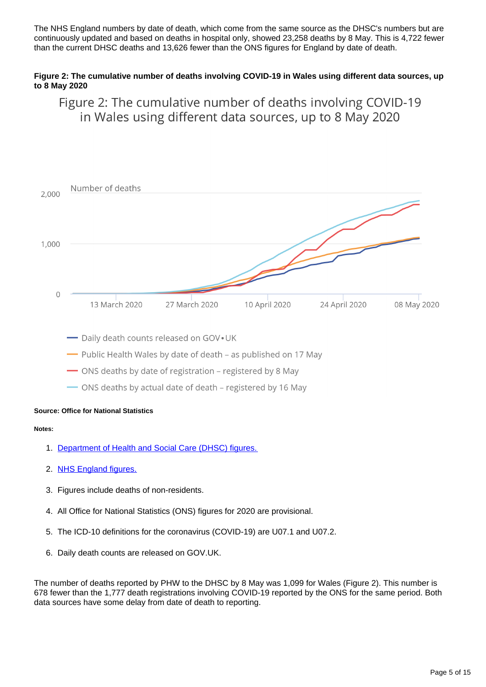The NHS England numbers by date of death, which come from the same source as the DHSC's numbers but are continuously updated and based on deaths in hospital only, showed 23,258 deaths by 8 May. This is 4,722 fewer than the current DHSC deaths and 13,626 fewer than the ONS figures for England by date of death.

#### **Figure 2: The cumulative number of deaths involving COVID-19 in Wales using different data sources, up to 8 May 2020**

Figure 2: The cumulative number of deaths involving COVID-19 in Wales using different data sources, up to 8 May 2020



- Daily death counts released on GOV. UK

- Public Health Wales by date of death - as published on 17 May

- ONS deaths by date of registration - registered by 8 May

- ONS deaths by actual date of death - registered by 16 May

#### **Source: Office for National Statistics**

#### **Notes:**

- 1. [Department of Health and Social Care \(DHSC\) figures.](https://www.gov.uk/government/publications/covid-19-track-coronavirus-cases)
- 2. [NHS England figures.](https://www.england.nhs.uk/statistics/statistical-work-areas/covid-19-daily-deaths)
- 3. Figures include deaths of non-residents.
- 4. All Office for National Statistics (ONS) figures for 2020 are provisional.
- 5. The ICD-10 definitions for the coronavirus (COVID-19) are U07.1 and U07.2.
- 6. Daily death counts are released on GOV.UK.

The number of deaths reported by PHW to the DHSC by 8 May was 1,099 for Wales (Figure 2). This number is 678 fewer than the 1,777 death registrations involving COVID-19 reported by the ONS for the same period. Both data sources have some delay from date of death to reporting.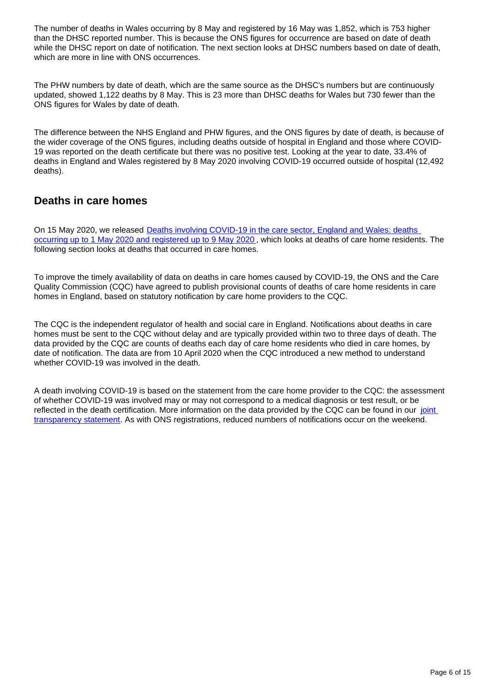The number of deaths in Wales occurring by 8 May and registered by 16 May was 1,852, which is 753 higher than the DHSC reported number. This is because the ONS figures for occurrence are based on date of death while the DHSC report on date of notification. The next section looks at DHSC numbers based on date of death, which are more in line with ONS occurrences.

The PHW numbers by date of death, which are the same source as the DHSC's numbers but are continuously updated, showed 1,122 deaths by 8 May. This is 23 more than DHSC deaths for Wales but 730 fewer than the ONS figures for Wales by date of death.

The difference between the NHS England and PHW figures, and the ONS figures by date of death, is because of the wider coverage of the ONS figures, including deaths outside of hospital in England and those where COVID-19 was reported on the death certificate but there was no positive test. Looking at the year to date, 33.4% of deaths in England and Wales registered by 8 May 2020 involving COVID-19 occurred outside of hospital (12,492 deaths).

### **Deaths in care homes**

On 15 May 2020, we released **Deaths involving COVID-19 in the care sector**, England and Wales: deaths [occurring up to 1 May 2020 and registered up to 9 May 2020](https://www.ons.gov.uk/peoplepopulationandcommunity/birthsdeathsandmarriages/deaths/articles/deathsinvolvingcovid19inthecaresectorenglandandwales/deathsoccurringupto1may2020andregisteredupto9may2020provisional) , which looks at deaths of care home residents. The following section looks at deaths that occurred in care homes.

To improve the timely availability of data on deaths in care homes caused by COVID-19, the ONS and the Care Quality Commission (CQC) have agreed to publish provisional counts of deaths of care home residents in care homes in England, based on statutory notification by care home providers to the CQC.

The CQC is the independent regulator of health and social care in England. Notifications about deaths in care homes must be sent to the CQC without delay and are typically provided within two to three days of death. The data provided by the CQC are counts of deaths each day of care home residents who died in care homes, by date of notification. The data are from 10 April 2020 when the CQC introduced a new method to understand whether COVID-19 was involved in the death.

A death involving COVID-19 is based on the statement from the care home provider to the CQC: the assessment of whether COVID-19 was involved may or may not correspond to a medical diagnosis or test result, or be reflected in the death certification. More information on the data provided by the CQC can be found in our [joint](https://www.ons.gov.uk/news/statementsandletters/publicationofstatisticsondeathsinvolvingcovid19incarehomesinenglandtransparencystatement)  [transparency statement](https://www.ons.gov.uk/news/statementsandletters/publicationofstatisticsondeathsinvolvingcovid19incarehomesinenglandtransparencystatement). As with ONS registrations, reduced numbers of notifications occur on the weekend.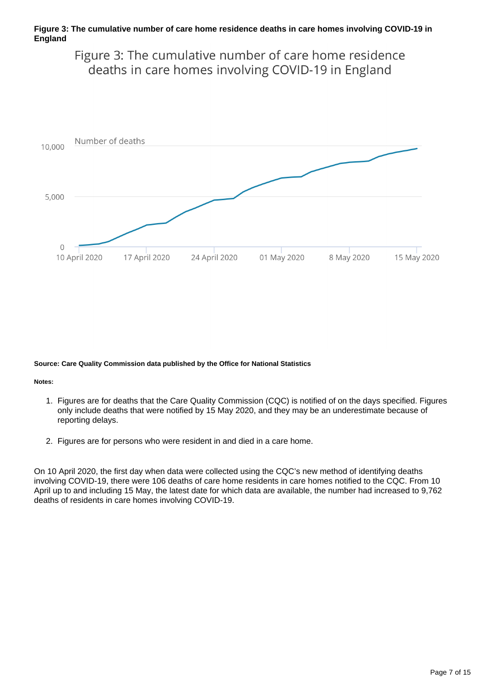#### **Figure 3: The cumulative number of care home residence deaths in care homes involving COVID-19 in England**

Figure 3: The cumulative number of care home residence deaths in care homes involving COVID-19 in England



#### **Source: Care Quality Commission data published by the Office for National Statistics**

#### **Notes:**

- 1. Figures are for deaths that the Care Quality Commission (CQC) is notified of on the days specified. Figures only include deaths that were notified by 15 May 2020, and they may be an underestimate because of reporting delays.
- 2. Figures are for persons who were resident in and died in a care home.

On 10 April 2020, the first day when data were collected using the CQC's new method of identifying deaths involving COVID-19, there were 106 deaths of care home residents in care homes notified to the CQC. From 10 April up to and including 15 May, the latest date for which data are available, the number had increased to 9,762 deaths of residents in care homes involving COVID-19.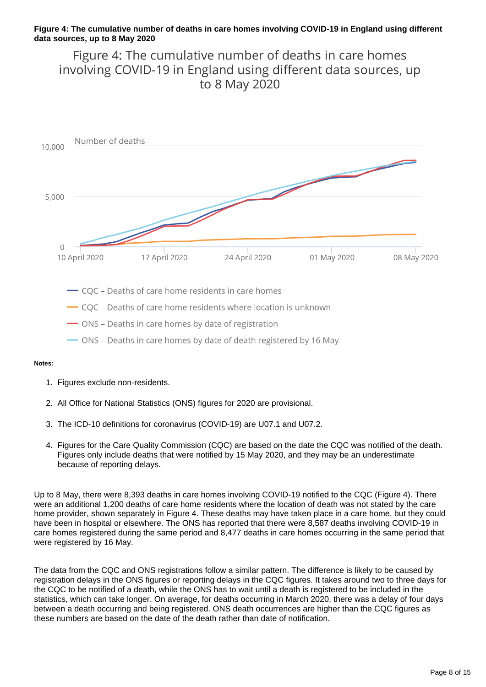#### **Figure 4: The cumulative number of deaths in care homes involving COVID-19 in England using different data sources, up to 8 May 2020**

Figure 4: The cumulative number of deaths in care homes involving COVID-19 in England using different data sources, up to 8 May 2020



#### **Notes:**

- 1. Figures exclude non-residents.
- 2. All Office for National Statistics (ONS) figures for 2020 are provisional.
- 3. The ICD-10 definitions for coronavirus (COVID-19) are U07.1 and U07.2.
- 4. Figures for the Care Quality Commission (CQC) are based on the date the CQC was notified of the death. Figures only include deaths that were notified by 15 May 2020, and they may be an underestimate because of reporting delays.

Up to 8 May, there were 8,393 deaths in care homes involving COVID-19 notified to the CQC (Figure 4). There were an additional 1,200 deaths of care home residents where the location of death was not stated by the care home provider, shown separately in Figure 4. These deaths may have taken place in a care home, but they could have been in hospital or elsewhere. The ONS has reported that there were 8,587 deaths involving COVID-19 in care homes registered during the same period and 8,477 deaths in care homes occurring in the same period that were registered by 16 May.

The data from the CQC and ONS registrations follow a similar pattern. The difference is likely to be caused by registration delays in the ONS figures or reporting delays in the CQC figures. It takes around two to three days for the CQC to be notified of a death, while the ONS has to wait until a death is registered to be included in the statistics, which can take longer. On average, for deaths occurring in March 2020, there was a delay of four days between a death occurring and being registered. ONS death occurrences are higher than the CQC figures as these numbers are based on the date of the death rather than date of notification.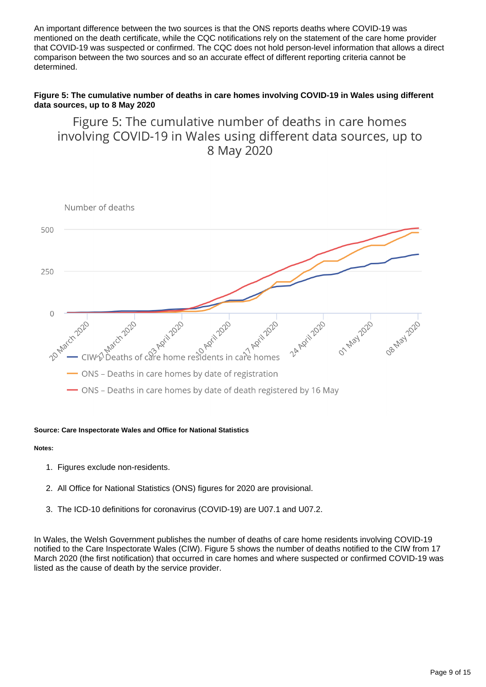An important difference between the two sources is that the ONS reports deaths where COVID-19 was mentioned on the death certificate, while the CQC notifications rely on the statement of the care home provider that COVID-19 was suspected or confirmed. The CQC does not hold person-level information that allows a direct comparison between the two sources and so an accurate effect of different reporting criteria cannot be determined.

#### **Figure 5: The cumulative number of deaths in care homes involving COVID-19 in Wales using different data sources, up to 8 May 2020**

Figure 5: The cumulative number of deaths in care homes involving COVID-19 in Wales using different data sources, up to 8 May 2020



#### **Source: Care Inspectorate Wales and Office for National Statistics**

#### **Notes:**

- 1. Figures exclude non-residents.
- 2. All Office for National Statistics (ONS) figures for 2020 are provisional.
- 3. The ICD-10 definitions for coronavirus (COVID-19) are U07.1 and U07.2.

In Wales, the Welsh Government publishes the number of deaths of care home residents involving COVID-19 notified to the Care Inspectorate Wales (CIW). Figure 5 shows the number of deaths notified to the CIW from 17 March 2020 (the first notification) that occurred in care homes and where suspected or confirmed COVID-19 was listed as the cause of death by the service provider.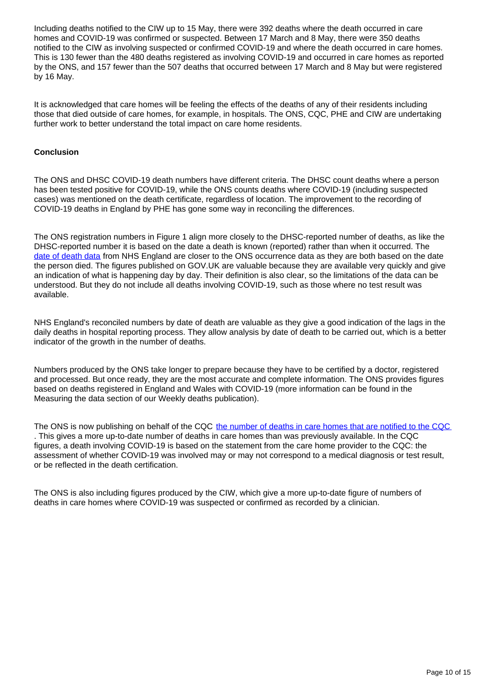Including deaths notified to the CIW up to 15 May, there were 392 deaths where the death occurred in care homes and COVID-19 was confirmed or suspected. Between 17 March and 8 May, there were 350 deaths notified to the CIW as involving suspected or confirmed COVID-19 and where the death occurred in care homes. This is 130 fewer than the 480 deaths registered as involving COVID-19 and occurred in care homes as reported by the ONS, and 157 fewer than the 507 deaths that occurred between 17 March and 8 May but were registered by 16 May.

It is acknowledged that care homes will be feeling the effects of the deaths of any of their residents including those that died outside of care homes, for example, in hospitals. The ONS, CQC, PHE and CIW are undertaking further work to better understand the total impact on care home residents.

#### **Conclusion**

The ONS and DHSC COVID-19 death numbers have different criteria. The DHSC count deaths where a person has been tested positive for COVID-19, while the ONS counts deaths where COVID-19 (including suspected cases) was mentioned on the death certificate, regardless of location. The improvement to the recording of COVID-19 deaths in England by PHE has gone some way in reconciling the differences.

The ONS registration numbers in Figure 1 align more closely to the DHSC-reported number of deaths, as like the DHSC-reported number it is based on the date a death is known (reported) rather than when it occurred. The [date of death data](https://www.england.nhs.uk/statistics/statistical-work-areas/covid-19-daily-deaths/) from NHS England are closer to the ONS occurrence data as they are both based on the date the person died. The figures published on GOV.UK are valuable because they are available very quickly and give an indication of what is happening day by day. Their definition is also clear, so the limitations of the data can be understood. But they do not include all deaths involving COVID-19, such as those where no test result was available.

NHS England's reconciled numbers by date of death are valuable as they give a good indication of the lags in the daily deaths in hospital reporting process. They allow analysis by date of death to be carried out, which is a better indicator of the growth in the number of deaths.

Numbers produced by the ONS take longer to prepare because they have to be certified by a doctor, registered and processed. But once ready, they are the most accurate and complete information. The ONS provides figures based on deaths registered in England and Wales with COVID-19 (more information can be found in the Measuring the data section of our Weekly deaths publication).

The ONS is now publishing on behalf of the CQC [the number of deaths in care homes that are notified to the CQC](https://www.ons.gov.uk/peoplepopulationandcommunity/birthsdeathsandmarriages/deaths/datasets/numberofdeathsincarehomesnotifiedtothecarequalitycommissionengland) . This gives a more up-to-date number of deaths in care homes than was previously available. In the CQC figures, a death involving COVID-19 is based on the statement from the care home provider to the CQC: the assessment of whether COVID-19 was involved may or may not correspond to a medical diagnosis or test result, or be reflected in the death certification.

The ONS is also including figures produced by the CIW, which give a more up-to-date figure of numbers of deaths in care homes where COVID-19 was suspected or confirmed as recorded by a clinician.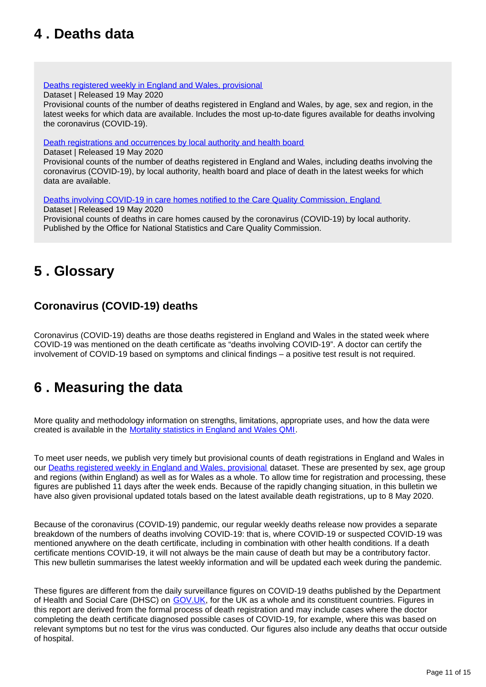### <span id="page-10-0"></span>**4 . Deaths data**

[Deaths registered weekly in England and Wales, provisional](https://www.ons.gov.uk/peoplepopulationandcommunity/birthsdeathsandmarriages/deaths/datasets/weeklyprovisionalfiguresondeathsregisteredinenglandandwales)

Dataset | Released 19 May 2020

Provisional counts of the number of deaths registered in England and Wales, by age, sex and region, in the latest weeks for which data are available. Includes the most up-to-date figures available for deaths involving the coronavirus (COVID-19).

[Death registrations and occurrences by local authority and health board](https://www.ons.gov.uk/peoplepopulationandcommunity/healthandsocialcare/causesofdeath/datasets/deathregistrationsandoccurrencesbylocalauthorityandhealthboard)

Dataset | Released 19 May 2020

Provisional counts of the number of deaths registered in England and Wales, including deaths involving the coronavirus (COVID-19), by local authority, health board and place of death in the latest weeks for which data are available.

[Deaths involving COVID-19 in care homes notified to the Care Quality Commission, England](https://www.ons.gov.uk/peoplepopulationandcommunity/birthsdeathsandmarriages/deaths/datasets/numberofdeathsincarehomesnotifiedtothecarequalitycommissionengland) Dataset | Released 19 May 2020

Provisional counts of deaths in care homes caused by the coronavirus (COVID-19) by local authority. Published by the Office for National Statistics and Care Quality Commission.

## <span id="page-10-1"></span>**5 . Glossary**

### **Coronavirus (COVID-19) deaths**

Coronavirus (COVID-19) deaths are those deaths registered in England and Wales in the stated week where COVID-19 was mentioned on the death certificate as "deaths involving COVID-19". A doctor can certify the involvement of COVID-19 based on symptoms and clinical findings – a positive test result is not required.

## <span id="page-10-2"></span>**6 . Measuring the data**

More quality and methodology information on strengths, limitations, appropriate uses, and how the data were created is available in the [Mortality statistics in England and Wales QMI.](https://www.ons.gov.uk/peoplepopulationandcommunity/birthsdeathsandmarriages/deaths/methodologies/mortalitystatisticsinenglandandwalesqmi)

To meet user needs, we publish very timely but provisional counts of death registrations in England and Wales in our [Deaths registered weekly in England and Wales, provisional](https://www.ons.gov.uk/peoplepopulationandcommunity/birthsdeathsandmarriages/deaths/datasets/weeklyprovisionalfiguresondeathsregisteredinenglandandwales) dataset. These are presented by sex, age group and regions (within England) as well as for Wales as a whole. To allow time for registration and processing, these figures are published 11 days after the week ends. Because of the rapidly changing situation, in this bulletin we have also given provisional updated totals based on the latest available death registrations, up to 8 May 2020.

Because of the coronavirus (COVID-19) pandemic, our regular weekly deaths release now provides a separate breakdown of the numbers of deaths involving COVID-19: that is, where COVID-19 or suspected COVID-19 was mentioned anywhere on the death certificate, including in combination with other health conditions. If a death certificate mentions COVID-19, it will not always be the main cause of death but may be a contributory factor. This new bulletin summarises the latest weekly information and will be updated each week during the pandemic.

These figures are different from the daily surveillance figures on COVID-19 deaths published by the Department of Health and Social Care (DHSC) on [GOV.UK](https://www.gov.uk/guidance/coronavirus-covid-19-information-for-the-public), for the UK as a whole and its constituent countries. Figures in this report are derived from the formal process of death registration and may include cases where the doctor completing the death certificate diagnosed possible cases of COVID-19, for example, where this was based on relevant symptoms but no test for the virus was conducted. Our figures also include any deaths that occur outside of hospital.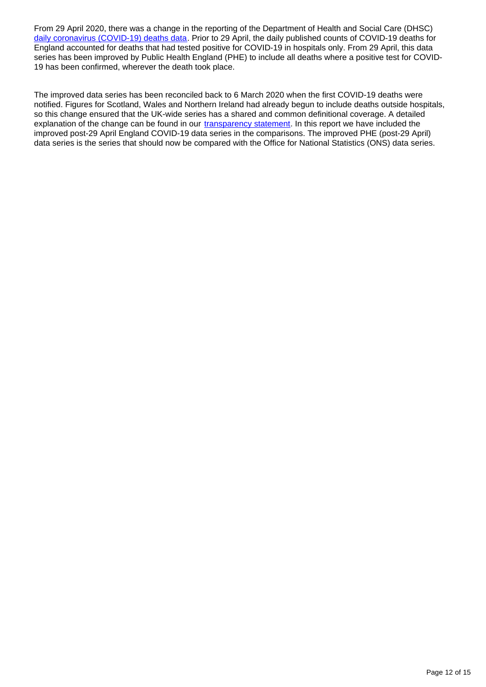From 29 April 2020, there was a change in the reporting of the Department of Health and Social Care (DHSC) [daily coronavirus \(COVID-19\) deaths data](https://www.gov.uk/guidance/coronavirus-covid-19-information-for-the-public). Prior to 29 April, the daily published counts of COVID-19 deaths for England accounted for deaths that had tested positive for COVID-19 in hospitals only. From 29 April, this data series has been improved by Public Health England (PHE) to include all deaths where a positive test for COVID-19 has been confirmed, wherever the death took place.

The improved data series has been reconciled back to 6 March 2020 when the first COVID-19 deaths were notified. Figures for Scotland, Wales and Northern Ireland had already begun to include deaths outside hospitals, so this change ensured that the UK-wide series has a shared and common definitional coverage. A detailed explanation of the change can be found in our [transparency statement.](https://www.ons.gov.uk/news/statementsandletters/thedifferentusesoffiguresondeathsfromcovid19publishedbydhscandtheons) In this report we have included the improved post-29 April England COVID-19 data series in the comparisons. The improved PHE (post-29 April) data series is the series that should now be compared with the Office for National Statistics (ONS) data series.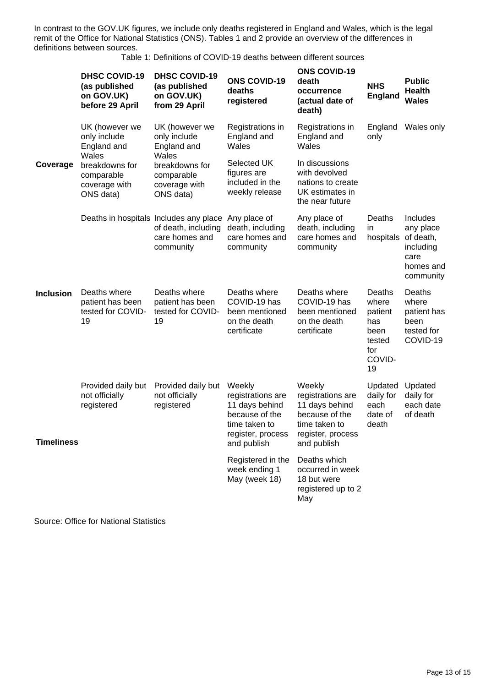In contrast to the GOV.UK figures, we include only deaths registered in England and Wales, which is the legal remit of the Office for National Statistics (ONS). Tables 1 and 2 provide an overview of the differences in definitions between sources.

Table 1: Definitions of COVID-19 deaths between different sources

|                   | <b>DHSC COVID-19</b><br>(as published<br>on GOV.UK)<br>before 29 April | <b>DHSC COVID-19</b><br>(as published<br>on GOV.UK)<br>from 29 April                         | <b>ONS COVID-19</b><br>deaths<br>registered                                                                          | <b>ONS COVID-19</b><br>death<br>occurrence<br>(actual date of<br>death)                                              | <b>NHS</b><br><b>England</b>                                               | <b>Public</b><br><b>Health</b><br><b>Wales</b>                                    |
|-------------------|------------------------------------------------------------------------|----------------------------------------------------------------------------------------------|----------------------------------------------------------------------------------------------------------------------|----------------------------------------------------------------------------------------------------------------------|----------------------------------------------------------------------------|-----------------------------------------------------------------------------------|
| Coverage          | UK (however we<br>only include<br>England and                          | UK (however we<br>only include<br>England and                                                | Registrations in<br>England and<br>Wales                                                                             | Registrations in<br>England and<br>Wales                                                                             | England<br>only                                                            | Wales only                                                                        |
|                   | Wales<br>breakdowns for<br>comparable<br>coverage with<br>ONS data)    | Wales<br>breakdowns for<br>comparable<br>coverage with<br>ONS data)                          | Selected UK<br>figures are<br>included in the<br>weekly release                                                      | In discussions<br>with devolved<br>nations to create<br>UK estimates in<br>the near future                           |                                                                            |                                                                                   |
|                   |                                                                        | Deaths in hospitals Includes any place<br>of death, including<br>care homes and<br>community | Any place of<br>death, including<br>care homes and<br>community                                                      | Any place of<br>death, including<br>care homes and<br>community                                                      | Deaths<br>in.<br>hospitals                                                 | Includes<br>any place<br>of death,<br>including<br>care<br>homes and<br>community |
| <b>Inclusion</b>  | Deaths where<br>patient has been<br>tested for COVID-<br>19            | Deaths where<br>patient has been<br>tested for COVID-<br>19                                  | Deaths where<br>COVID-19 has<br>been mentioned<br>on the death<br>certificate                                        | Deaths where<br>COVID-19 has<br>been mentioned<br>on the death<br>certificate                                        | Deaths<br>where<br>patient<br>has<br>been<br>tested<br>for<br>COVID-<br>19 | Deaths<br>where<br>patient has<br>been<br>tested for<br>COVID-19                  |
| <b>Timeliness</b> | Provided daily but<br>not officially<br>registered                     | Provided daily but<br>not officially<br>registered                                           | Weekly<br>registrations are<br>11 days behind<br>because of the<br>time taken to<br>register, process<br>and publish | Weekly<br>registrations are<br>11 days behind<br>because of the<br>time taken to<br>register, process<br>and publish | Updated<br>daily for<br>each<br>date of<br>death                           | Updated<br>daily for<br>each date<br>of death                                     |
|                   |                                                                        |                                                                                              | Registered in the<br>week ending 1<br>May (week 18)                                                                  | Deaths which<br>occurred in week<br>18 but were<br>registered up to 2<br>May                                         |                                                                            |                                                                                   |

Source: Office for National Statistics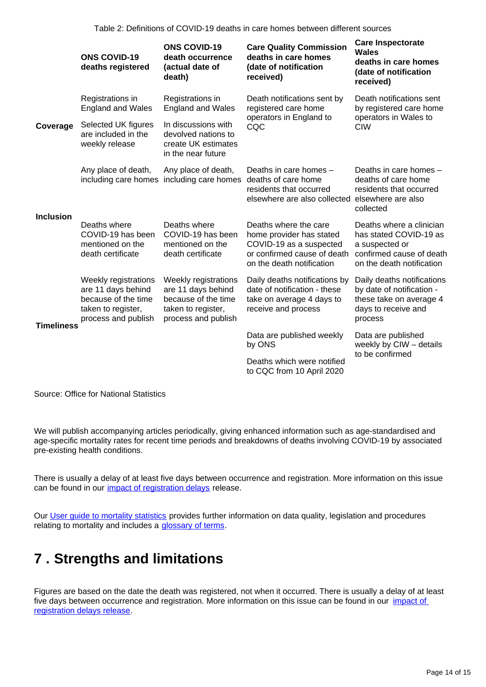|                  | <b>ONS COVID-19</b><br>deaths registered                                                                       | <b>ONS COVID-19</b><br>death occurrence<br>(actual date of<br>death)                                           | <b>Care Quality Commission</b><br>deaths in care homes<br>(date of notification<br>received)                                             | <b>Care Inspectorate</b><br>Wales<br>deaths in care homes<br>(date of notification<br>received)                               |  |
|------------------|----------------------------------------------------------------------------------------------------------------|----------------------------------------------------------------------------------------------------------------|------------------------------------------------------------------------------------------------------------------------------------------|-------------------------------------------------------------------------------------------------------------------------------|--|
| Coverage         | Registrations in<br><b>England and Wales</b>                                                                   | Registrations in<br><b>England and Wales</b>                                                                   | Death notifications sent by<br>registered care home                                                                                      | Death notifications sent<br>by registered care home                                                                           |  |
|                  | Selected UK figures<br>are included in the<br>weekly release                                                   | In discussions with<br>devolved nations to<br>create UK estimates<br>in the near future                        | operators in England to<br>CQC                                                                                                           | operators in Wales to<br><b>CIW</b>                                                                                           |  |
| <b>Inclusion</b> | Any place of death,                                                                                            | Any place of death,<br>including care homes including care homes deaths of care home                           | Deaths in care homes -<br>residents that occurred<br>elsewhere are also collected elsewhere are also                                     | Deaths in care homes -<br>deaths of care home<br>residents that occurred<br>collected                                         |  |
|                  | Deaths where<br>COVID-19 has been<br>mentioned on the<br>death certificate                                     | Deaths where<br>COVID-19 has been<br>mentioned on the<br>death certificate                                     | Deaths where the care<br>home provider has stated<br>COVID-19 as a suspected<br>or confirmed cause of death<br>on the death notification | Deaths where a clinician<br>has stated COVID-19 as<br>a suspected or<br>confirmed cause of death<br>on the death notification |  |
| Timeliness       | Weekly registrations<br>are 11 days behind<br>because of the time<br>taken to register,<br>process and publish | Weekly registrations<br>are 11 days behind<br>because of the time<br>taken to register,<br>process and publish | Daily deaths notifications by<br>date of notification - these<br>take on average 4 days to<br>receive and process                        | Daily deaths notifications<br>by date of notification -<br>these take on average 4<br>days to receive and<br>process          |  |
|                  |                                                                                                                |                                                                                                                | Data are published weekly<br>by ONS                                                                                                      | Data are published<br>weekly by CIW - details                                                                                 |  |
|                  |                                                                                                                |                                                                                                                | Deaths which were notified<br>to CQC from 10 April 2020                                                                                  | to be confirmed                                                                                                               |  |
|                  |                                                                                                                |                                                                                                                |                                                                                                                                          |                                                                                                                               |  |

Source: Office for National Statistics

We will publish accompanying articles periodically, giving enhanced information such as age-standardised and age-specific mortality rates for recent time periods and breakdowns of deaths involving COVID-19 by associated pre-existing health conditions.

There is usually a delay of at least five days between occurrence and registration. More information on this issue can be found in our *impact of registration delays* release.

Our User quide to mortality statistics provides further information on data quality, legislation and procedures relating to mortality and includes a [glossary of terms](https://www.ons.gov.uk/peoplepopulationandcommunity/birthsdeathsandmarriages/deaths/methodologies/userguidetomortalitystatisticsjuly2017#glossary).

### <span id="page-13-0"></span>**7 . Strengths and limitations**

Figures are based on the date the death was registered, not when it occurred. There is usually a delay of at least five days between occurrence and registration. More information on this issue can be found in our *impact of* [registration delays release.](https://www.ons.gov.uk/peoplepopulationandcommunity/birthsdeathsandmarriages/deaths/articles/impactofregistrationdelaysonmortalitystatisticsinenglandandwales/2018)